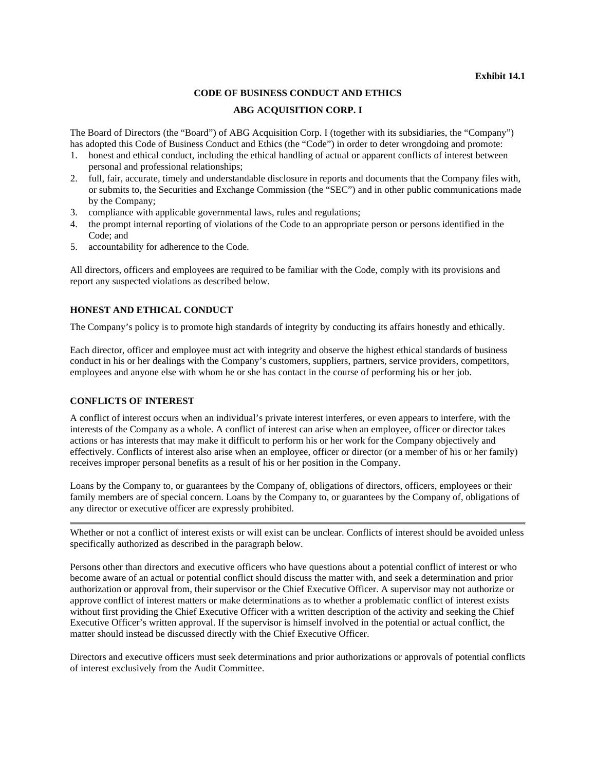#### **Exhibit 14.1**

### **CODE OF BUSINESS CONDUCT AND ETHICS**

#### **ABG ACQUISITION CORP. I**

The Board of Directors (the "Board") of ABG Acquisition Corp. I (together with its subsidiaries, the "Company") has adopted this Code of Business Conduct and Ethics (the "Code") in order to deter wrongdoing and promote:

- 1. honest and ethical conduct, including the ethical handling of actual or apparent conflicts of interest between personal and professional relationships;
- 2. full, fair, accurate, timely and understandable disclosure in reports and documents that the Company files with, or submits to, the Securities and Exchange Commission (the "SEC") and in other public communications made by the Company;
- 3. compliance with applicable governmental laws, rules and regulations;
- 4. the prompt internal reporting of violations of the Code to an appropriate person or persons identified in the Code; and
- 5. accountability for adherence to the Code.

All directors, officers and employees are required to be familiar with the Code, comply with its provisions and report any suspected violations as described below.

# **HONEST AND ETHICAL CONDUCT**

The Company's policy is to promote high standards of integrity by conducting its affairs honestly and ethically.

Each director, officer and employee must act with integrity and observe the highest ethical standards of business conduct in his or her dealings with the Company's customers, suppliers, partners, service providers, competitors, employees and anyone else with whom he or she has contact in the course of performing his or her job.

# **CONFLICTS OF INTEREST**

A conflict of interest occurs when an individual's private interest interferes, or even appears to interfere, with the interests of the Company as a whole. A conflict of interest can arise when an employee, officer or director takes actions or has interests that may make it difficult to perform his or her work for the Company objectively and effectively. Conflicts of interest also arise when an employee, officer or director (or a member of his or her family) receives improper personal benefits as a result of his or her position in the Company.

Loans by the Company to, or guarantees by the Company of, obligations of directors, officers, employees or their family members are of special concern. Loans by the Company to, or guarantees by the Company of, obligations of any director or executive officer are expressly prohibited.

Whether or not a conflict of interest exists or will exist can be unclear. Conflicts of interest should be avoided unless specifically authorized as described in the paragraph below.

Persons other than directors and executive officers who have questions about a potential conflict of interest or who become aware of an actual or potential conflict should discuss the matter with, and seek a determination and prior authorization or approval from, their supervisor or the Chief Executive Officer. A supervisor may not authorize or approve conflict of interest matters or make determinations as to whether a problematic conflict of interest exists without first providing the Chief Executive Officer with a written description of the activity and seeking the Chief Executive Officer's written approval. If the supervisor is himself involved in the potential or actual conflict, the matter should instead be discussed directly with the Chief Executive Officer.

Directors and executive officers must seek determinations and prior authorizations or approvals of potential conflicts of interest exclusively from the Audit Committee.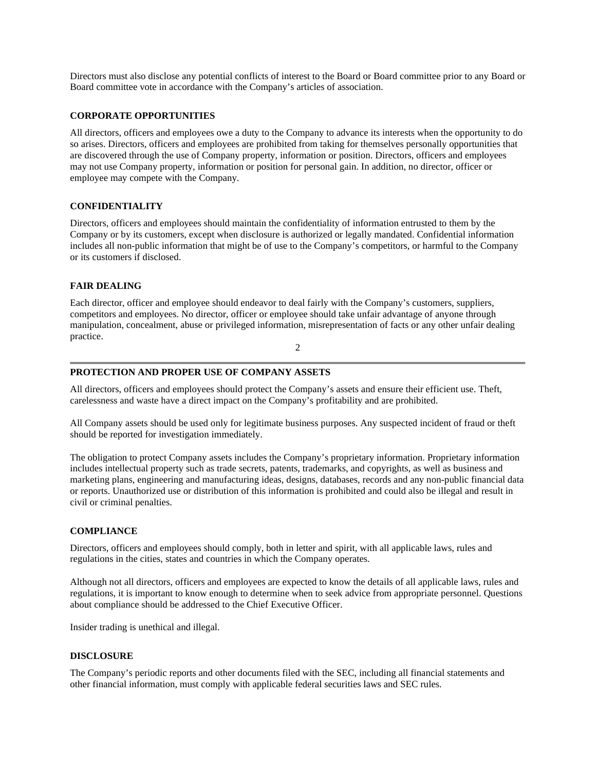Directors must also disclose any potential conflicts of interest to the Board or Board committee prior to any Board or Board committee vote in accordance with the Company's articles of association.

### **CORPORATE OPPORTUNITIES**

All directors, officers and employees owe a duty to the Company to advance its interests when the opportunity to do so arises. Directors, officers and employees are prohibited from taking for themselves personally opportunities that are discovered through the use of Company property, information or position. Directors, officers and employees may not use Company property, information or position for personal gain. In addition, no director, officer or employee may compete with the Company.

### **CONFIDENTIALITY**

Directors, officers and employees should maintain the confidentiality of information entrusted to them by the Company or by its customers, except when disclosure is authorized or legally mandated. Confidential information includes all non-public information that might be of use to the Company's competitors, or harmful to the Company or its customers if disclosed.

# **FAIR DEALING**

Each director, officer and employee should endeavor to deal fairly with the Company's customers, suppliers, competitors and employees. No director, officer or employee should take unfair advantage of anyone through manipulation, concealment, abuse or privileged information, misrepresentation of facts or any other unfair dealing practice.

2

#### **PROTECTION AND PROPER USE OF COMPANY ASSETS**

All directors, officers and employees should protect the Company's assets and ensure their efficient use. Theft, carelessness and waste have a direct impact on the Company's profitability and are prohibited.

All Company assets should be used only for legitimate business purposes. Any suspected incident of fraud or theft should be reported for investigation immediately.

The obligation to protect Company assets includes the Company's proprietary information. Proprietary information includes intellectual property such as trade secrets, patents, trademarks, and copyrights, as well as business and marketing plans, engineering and manufacturing ideas, designs, databases, records and any non-public financial data or reports. Unauthorized use or distribution of this information is prohibited and could also be illegal and result in civil or criminal penalties.

#### **COMPLIANCE**

Directors, officers and employees should comply, both in letter and spirit, with all applicable laws, rules and regulations in the cities, states and countries in which the Company operates.

Although not all directors, officers and employees are expected to know the details of all applicable laws, rules and regulations, it is important to know enough to determine when to seek advice from appropriate personnel. Questions about compliance should be addressed to the Chief Executive Officer.

Insider trading is unethical and illegal.

#### **DISCLOSURE**

The Company's periodic reports and other documents filed with the SEC, including all financial statements and other financial information, must comply with applicable federal securities laws and SEC rules.